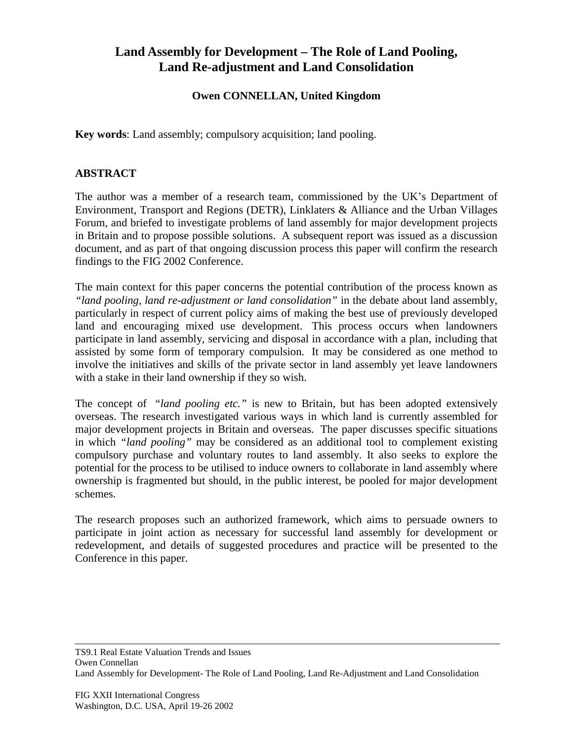## **Land Assembly for Development – The Role of Land Pooling, Land Re-adjustment and Land Consolidation**

## **Owen CONNELLAN, United Kingdom**

**Key words**: Land assembly; compulsory acquisition; land pooling.

## **ABSTRACT**

The author was a member of a research team, commissioned by the UK's Department of Environment, Transport and Regions (DETR), Linklaters & Alliance and the Urban Villages Forum, and briefed to investigate problems of land assembly for major development projects in Britain and to propose possible solutions. A subsequent report was issued as a discussion document, and as part of that ongoing discussion process this paper will confirm the research findings to the FIG 2002 Conference.

The main context for this paper concerns the potential contribution of the process known as *"land pooling, land re-adjustment or land consolidation"* in the debate about land assembly, particularly in respect of current policy aims of making the best use of previously developed land and encouraging mixed use development. This process occurs when landowners participate in land assembly, servicing and disposal in accordance with a plan, including that assisted by some form of temporary compulsion. It may be considered as one method to involve the initiatives and skills of the private sector in land assembly yet leave landowners with a stake in their land ownership if they so wish.

The concept of *"land pooling etc."* is new to Britain, but has been adopted extensively overseas. The research investigated various ways in which land is currently assembled for major development projects in Britain and overseas. The paper discusses specific situations in which *"land pooling"* may be considered as an additional tool to complement existing compulsory purchase and voluntary routes to land assembly. It also seeks to explore the potential for the process to be utilised to induce owners to collaborate in land assembly where ownership is fragmented but should, in the public interest, be pooled for major development schemes.

The research proposes such an authorized framework, which aims to persuade owners to participate in joint action as necessary for successful land assembly for development or redevelopment, and details of suggested procedures and practice will be presented to the Conference in this paper.